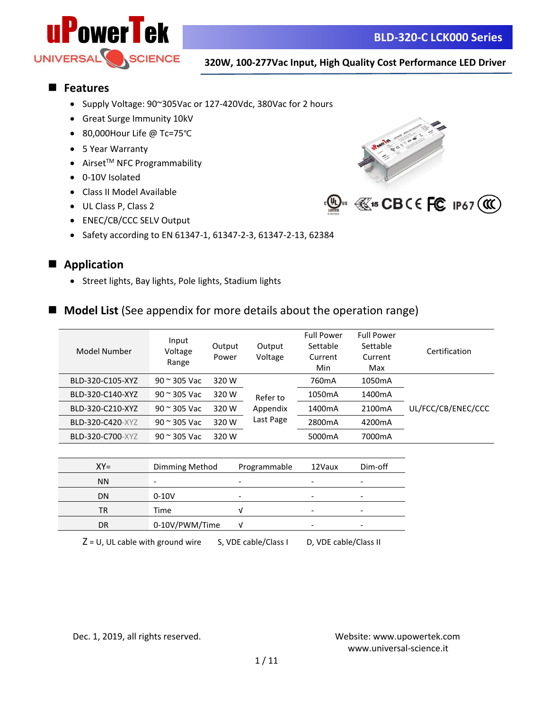

## ■ **Features**

- Supply Voltage: 90~305Vac or 127-420Vdc, 380Vac for 2 hours
- Great Surge Immunity 10kV
- 80,000Hour Life @ Tc=75℃
- 5 Year Warranty
- $\bullet$  Airset<sup>TM</sup> NFC Programmability
- 0-10V Isolated
- Class II Model Available
- UL Class P, Class 2
- ENEC/CB/CCC SELV Output
- Safety according to EN 61347-1, 61347-2-3, 61347-2-13, 62384



## ■ **Application**

- Street lights, Bay lights, Pole lights, Stadium lights
- **Model List** (See appendix for more details about the operation range)

| Model Number     | Input<br>Voltage<br>Range | Output<br>Power | Output<br>Voltage | <b>Full Power</b><br>Settable<br>Current<br>Min | <b>Full Power</b><br>Settable<br>Current<br>Max | Certification      |
|------------------|---------------------------|-----------------|-------------------|-------------------------------------------------|-------------------------------------------------|--------------------|
| BLD-320-C105-XYZ | $90$ $\approx$ 305 Vac    | 320 W           |                   | 760 <sub>m</sub> A                              | 1050 <sub>m</sub> A                             |                    |
| BLD-320-C140-XYZ | $90$ $\approx$ 305 Vac    | 320 W           | Refer to          | 1050 <sub>m</sub> A                             | 1400mA                                          |                    |
| BLD-320-C210-XYZ | $90$ $\approx$ 305 Vac    | 320 W           | Appendix          | 1400 <sub>m</sub> A                             | 2100mA                                          | UL/FCC/CB/ENEC/CCC |
| BLD-320-C420-XYZ | $90 \approx 305$ Vac      | 320 W           | Last Page         | 2800mA                                          | 4200mA                                          |                    |
| BLD-320-C700-XYZ | $90 \approx 305$ Vac      | 320 W           |                   | 5000mA                                          | 7000mA                                          |                    |
|                  |                           |                 |                   |                                                 |                                                 |                    |

| $XY =$    | Dimming Method | Programmable | 12Vaux | Dim-off                  |
|-----------|----------------|--------------|--------|--------------------------|
| <b>NN</b> |                |              |        |                          |
| DN        | $0-10V$        | -            | -      |                          |
| TR        | Time           |              |        |                          |
| DR        | 0-10V/PWM/Time |              | -      | $\overline{\phantom{0}}$ |
|           |                |              |        |                          |

 $Z = U$ , UL cable with ground wire S, VDE cable/Class I D, VDE cable/Class II

Dec. 1, 2019, all rights reserved. Website:<www.upowertek.com>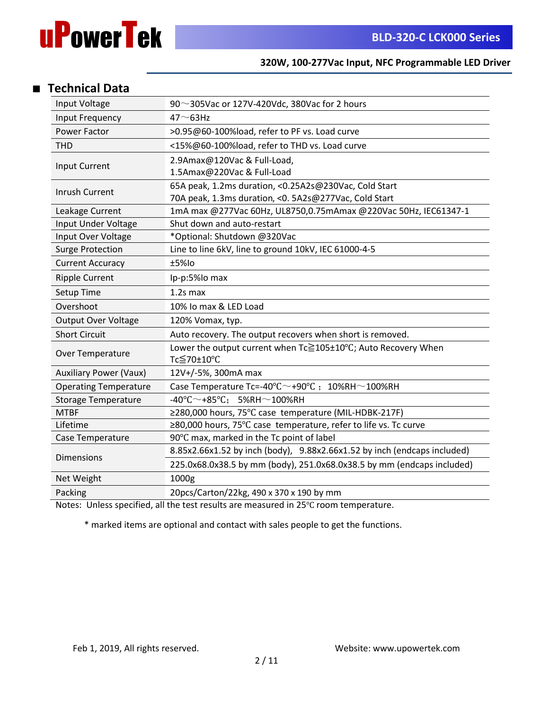

# ■ **Technical Data**

| Input Voltage                 | 90~305Vac or 127V-420Vdc, 380Vac for 2 hours                                     |  |  |  |
|-------------------------------|----------------------------------------------------------------------------------|--|--|--|
| Input Frequency               | $47 \sim 63$ Hz                                                                  |  |  |  |
| <b>Power Factor</b>           | >0.95@60-100%load, refer to PF vs. Load curve                                    |  |  |  |
| <b>THD</b>                    | <15%@60-100%load, refer to THD vs. Load curve                                    |  |  |  |
|                               | 2.9Amax@120Vac & Full-Load,                                                      |  |  |  |
| Input Current                 | 1.5Amax@220Vac & Full-Load                                                       |  |  |  |
| Inrush Current                | 65A peak, 1.2ms duration, <0.25A2s@230Vac, Cold Start                            |  |  |  |
|                               | 70A peak, 1.3ms duration, < 0. 5A2s@277Vac, Cold Start                           |  |  |  |
| Leakage Current               | 1mA max @277Vac 60Hz, UL8750,0.75mAmax @220Vac 50Hz, IEC61347-1                  |  |  |  |
| Input Under Voltage           | Shut down and auto-restart                                                       |  |  |  |
| Input Over Voltage            | *Optional: Shutdown @320Vac                                                      |  |  |  |
| <b>Surge Protection</b>       | Line to line 6kV, line to ground 10kV, IEC 61000-4-5                             |  |  |  |
| <b>Current Accuracy</b>       | ±5%lo                                                                            |  |  |  |
| <b>Ripple Current</b>         | Ip-p:5%lo max                                                                    |  |  |  |
| Setup Time                    | $1.2s$ max                                                                       |  |  |  |
| Overshoot                     | 10% Io max & LED Load                                                            |  |  |  |
| Output Over Voltage           | 120% Vomax, typ.                                                                 |  |  |  |
| <b>Short Circuit</b>          | Auto recovery. The output recovers when short is removed.                        |  |  |  |
| Over Temperature              | Lower the output current when Tc≧105±10°C; Auto Recovery When<br>Tc≦70±10°C      |  |  |  |
| <b>Auxiliary Power (Vaux)</b> | 12V+/-5%, 300mA max                                                              |  |  |  |
| <b>Operating Temperature</b>  | Case Temperature Tc=-40 $\degree$ C $\sim$ +90 $\degree$ C ; 10%RH $\sim$ 100%RH |  |  |  |
| <b>Storage Temperature</b>    | $-40^{\circ}$ C $\sim$ +85 $^{\circ}$ C; 5%RH $\sim$ 100%RH                      |  |  |  |
| <b>MTBF</b>                   | ≥280,000 hours, 75°C case temperature (MIL-HDBK-217F)                            |  |  |  |
| Lifetime                      | ≥80,000 hours, 75°C case temperature, refer to life vs. Tc curve                 |  |  |  |
| Case Temperature              | 90°C max, marked in the Tc point of label                                        |  |  |  |
| <b>Dimensions</b>             | 8.85x2.66x1.52 by inch (body), 9.88x2.66x1.52 by inch (endcaps included)         |  |  |  |
|                               | 225.0x68.0x38.5 by mm (body), 251.0x68.0x38.5 by mm (endcaps included)           |  |  |  |
| Net Weight                    | 1000g                                                                            |  |  |  |
| Packing                       | 20pcs/Carton/22kg, 490 x 370 x 190 by mm                                         |  |  |  |

Notes: Unless specified, all the test results are measured in 25℃ room temperature.

\* marked items are optional and contact with sales people to get the functions.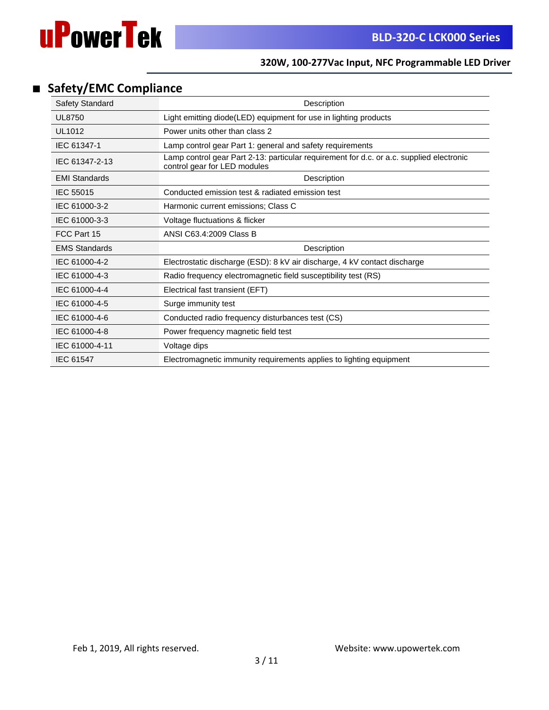

# ■ **Safety/EMC Compliance**

| Safety Standard      | Description                                                                                                              |
|----------------------|--------------------------------------------------------------------------------------------------------------------------|
| <b>UL8750</b>        | Light emitting diode(LED) equipment for use in lighting products                                                         |
| UL1012               | Power units other than class 2                                                                                           |
| IEC 61347-1          | Lamp control gear Part 1: general and safety requirements                                                                |
| IEC 61347-2-13       | Lamp control gear Part 2-13: particular requirement for d.c. or a.c. supplied electronic<br>control gear for LED modules |
| <b>EMI Standards</b> | Description                                                                                                              |
| IEC 55015            | Conducted emission test & radiated emission test                                                                         |
| IEC 61000-3-2        | Harmonic current emissions; Class C                                                                                      |
| IEC 61000-3-3        | Voltage fluctuations & flicker                                                                                           |
| FCC Part 15          | ANSI C63.4:2009 Class B                                                                                                  |
| <b>EMS Standards</b> | Description                                                                                                              |
| IEC 61000-4-2        | Electrostatic discharge (ESD): 8 kV air discharge, 4 kV contact discharge                                                |
| IEC 61000-4-3        | Radio frequency electromagnetic field susceptibility test (RS)                                                           |
| IEC 61000-4-4        | Electrical fast transient (EFT)                                                                                          |
| IEC 61000-4-5        | Surge immunity test                                                                                                      |
| IEC 61000-4-6        | Conducted radio frequency disturbances test (CS)                                                                         |
| IEC 61000-4-8        | Power frequency magnetic field test                                                                                      |
| IEC 61000-4-11       | Voltage dips                                                                                                             |
| <b>IEC 61547</b>     | Electromagnetic immunity requirements applies to lighting equipment                                                      |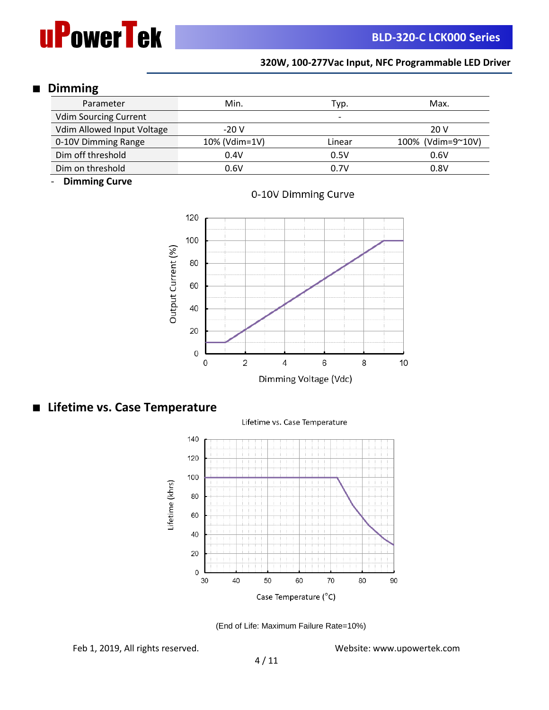

# ■ **Dimming**

| Parameter                    | Min.          | Typ.   | Max.              |
|------------------------------|---------------|--------|-------------------|
| <b>Vdim Sourcing Current</b> |               | -      |                   |
| Vdim Allowed Input Voltage   | $-20V$        |        | 20 V              |
| 0-10V Dimming Range          | 10% (Vdim=1V) | Linear | 100% (Vdim=9~10V) |
| Dim off threshold            | 0.4V          | 0.5V   | 0.6V              |
| Dim on threshold             | 0.6V          | 0.7V   | 0.8V              |

- **Dimming Curve**



0-10V Dimming Curve

# ■ **Lifetime vs. Case Temperature**

Lifetime vs. Case Temperature





Feb 1, 2019, All rights reserved. Website: www.upowertek.com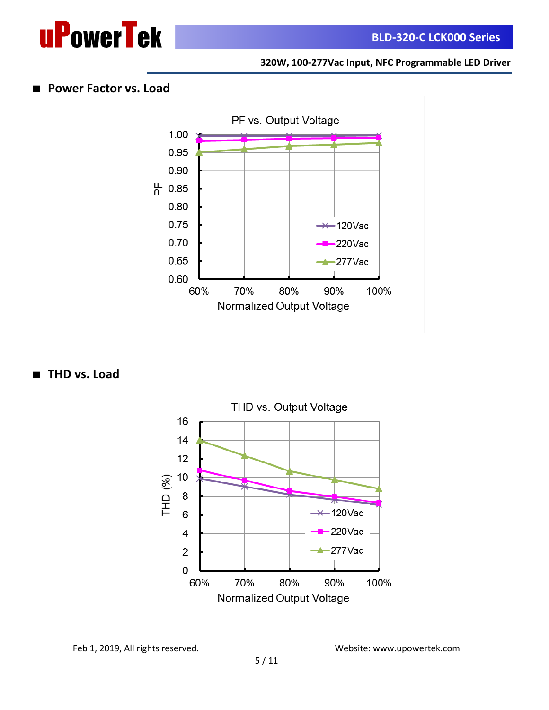



# ■ **Power Factor vs. Load**



■ **THD** vs. Load



Feb 1, 2019, All rights reserved. Website: www.upowertek.com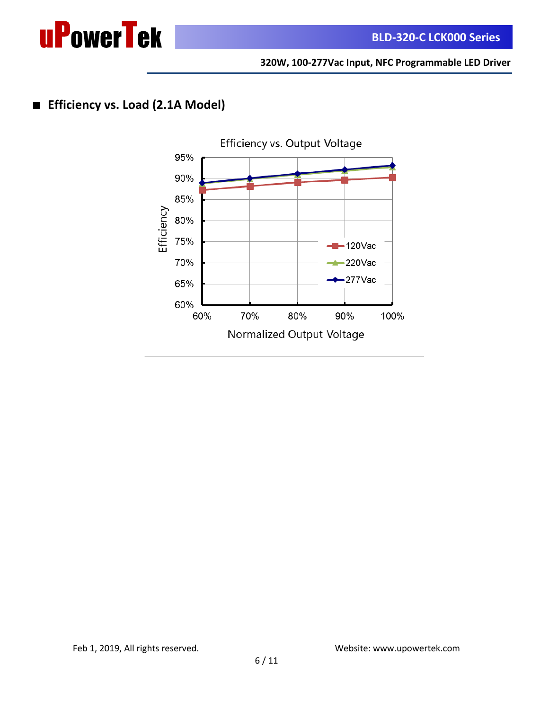

# ■ **Efficiency vs. Load (2.1A Model)**

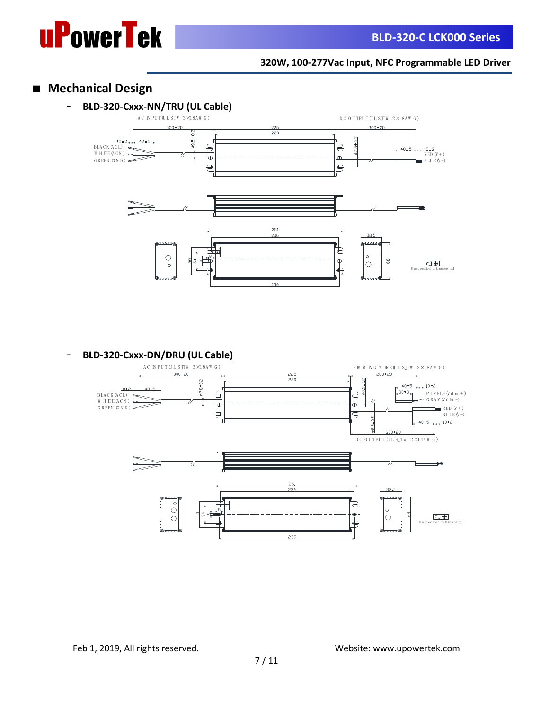

# ■ **Mechanical Design**



- **BLD-320-Cxxx-DN/DRU (UL Cable)**

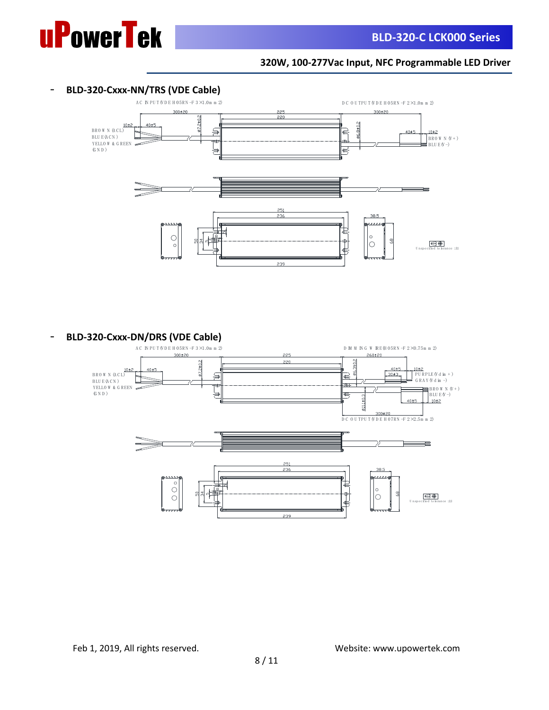

#### - **BLD-320-Cxxx-NN/TRS (VDE Cable)**



**- BLD-320-Cxxx-DN/DRS (VDE Cable)**<br>AC INPUTWDE HOSRN-F 3×1.0m m 2)

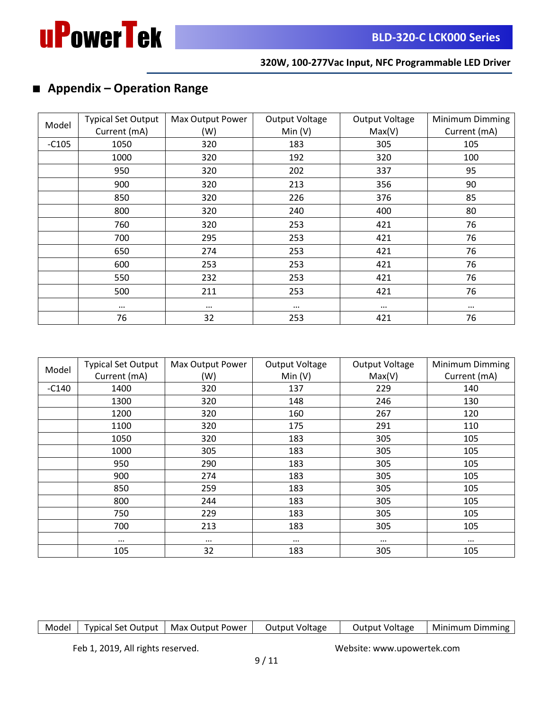

# ■ **Appendix – Operation Range**

|         | <b>Typical Set Output</b> | Max Output Power | Output Voltage | <b>Output Voltage</b> | Minimum Dimming |
|---------|---------------------------|------------------|----------------|-----------------------|-----------------|
| Model   | Current (mA)              | (W)              | Min(V)         | Max(V)                | Current (mA)    |
| $-C105$ | 1050                      | 320              | 183            | 305                   | 105             |
|         | 1000                      | 320              | 192            | 320                   | 100             |
|         | 950                       | 320              | 202            | 337                   | 95              |
|         | 900                       | 320              | 213            | 356                   | 90              |
|         | 850                       | 320              | 226            | 376                   | 85              |
|         | 800                       | 320              | 240            | 400                   | 80              |
|         | 760                       | 320              | 253            | 421                   | 76              |
|         | 700                       | 295              | 253            | 421                   | 76              |
|         | 650                       | 274              | 253            | 421                   | 76              |
|         | 600                       | 253              | 253            | 421                   | 76              |
|         | 550                       | 232              | 253            | 421                   | 76              |
|         | 500                       | 211              | 253            | 421                   | 76              |
|         | $\cdots$                  | $\cdots$         | $\cdots$       | $\cdots$              | $\cdots$        |
|         | 76                        | 32               | 253            | 421                   | 76              |

| Model   | <b>Typical Set Output</b> | Max Output Power | Output Voltage | Output Voltage | Minimum Dimming |
|---------|---------------------------|------------------|----------------|----------------|-----------------|
|         | Current (mA)              | (W)              | Min(V)         | Max(V)         | Current (mA)    |
| $-C140$ | 1400                      | 320              | 137            | 229            | 140             |
|         | 1300                      | 320              | 148            | 246            | 130             |
|         | 1200                      | 320              | 160            | 267            | 120             |
|         | 1100                      | 320              | 175            | 291            | 110             |
|         | 1050                      | 320              | 183            | 305            | 105             |
|         | 1000                      | 305              | 183            | 305            | 105             |
|         | 950                       | 290              | 183            | 305            | 105             |
|         | 900                       | 274              | 183            | 305            | 105             |
|         | 850                       | 259              | 183            | 305            | 105             |
|         | 800                       | 244              | 183            | 305            | 105             |
|         | 750                       | 229              | 183            | 305            | 105             |
|         | 700                       | 213              | 183            | 305            | 105             |
|         | $\cdots$                  | $\cdots$         | $\cdots$       |                | $\cdots$        |
|         | 105                       | 32               | 183            | 305            | 105             |

| Model                             | <b>Typical Set Output</b> | Max Output Power | Output Voltage | Output Voltage             | Minimum Dimming |
|-----------------------------------|---------------------------|------------------|----------------|----------------------------|-----------------|
|                                   |                           |                  |                |                            |                 |
| Feb 1, 2019, All rights reserved. |                           |                  | Q/11           | Website: www.upowertek.com |                 |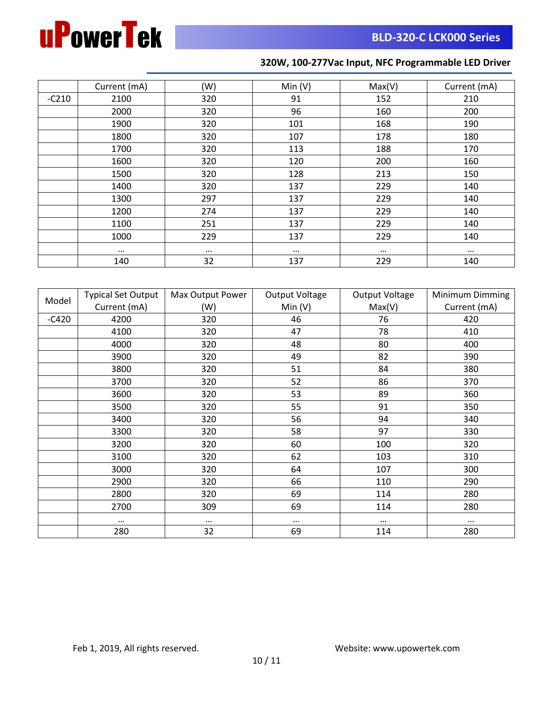

|         | Current (mA) | (W)      | Min(V)   | Max(V)   | Current (mA) |
|---------|--------------|----------|----------|----------|--------------|
| $-C210$ | 2100         | 320      | 91       | 152      | 210          |
|         | 2000         | 320      | 96       | 160      | 200          |
|         | 1900         | 320      | 101      | 168      | 190          |
|         | 1800         | 320      | 107      | 178      | 180          |
|         | 1700         | 320      | 113      | 188      | 170          |
|         | 1600         | 320      | 120      | 200      | 160          |
|         | 1500         | 320      | 128      | 213      | 150          |
|         | 1400         | 320      | 137      | 229      | 140          |
|         | 1300         | 297      | 137      | 229      | 140          |
|         | 1200         | 274      | 137      | 229      | 140          |
|         | 1100         | 251      | 137      | 229      | 140          |
|         | 1000         | 229      | 137      | 229      | 140          |
|         | $\cdots$     | $\cdots$ | $\cdots$ | $\cdots$ | $\cdots$     |
|         | 140          | 32       | 137      | 229      | 140          |

|         | <b>Typical Set Output</b> | Max Output Power | <b>Output Voltage</b> | <b>Output Voltage</b> | Minimum Dimming |
|---------|---------------------------|------------------|-----------------------|-----------------------|-----------------|
| Model   | Current (mA)              | (W)              | Min $(V)$             | Max(V)                | Current (mA)    |
| $-C420$ | 4200                      | 320              | 46                    | 76                    | 420             |
|         | 4100                      | 320              | 47                    | 78                    | 410             |
|         | 4000                      | 320              | 48                    | 80                    | 400             |
|         | 3900                      | 320              | 49                    | 82                    | 390             |
|         | 3800                      | 320              | 51                    | 84                    | 380             |
|         | 3700                      | 320              | 52                    | 86                    | 370             |
|         | 3600                      | 320              | 53                    | 89                    | 360             |
|         | 3500                      | 320              | 55                    | 91                    | 350             |
|         | 3400                      | 320              | 56                    | 94                    | 340             |
|         | 3300                      | 320              | 58                    | 97                    | 330             |
|         | 3200                      | 320              | 60                    | 100                   | 320             |
|         | 3100                      | 320              | 62                    | 103                   | 310             |
|         | 3000                      | 320              | 64                    | 107                   | 300             |
|         | 2900                      | 320              | 66                    | 110                   | 290             |
|         | 2800                      | 320              | 69                    | 114                   | 280             |
|         | 2700                      | 309              | 69                    | 114                   | 280             |
|         |                           | $\cdots$         | $\cdots$              | $\cdots$              | $\cdots$        |
|         | 280                       | 32               | 69                    | 114                   | 280             |